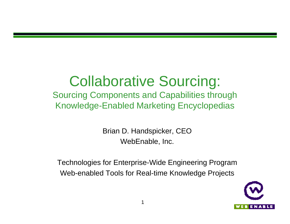## Collaborative Sourcing:

Sourcing Components and Capabilities through Knowledge-Enabled Marketing Encyclopedias

> Brian D. Handspicker, CEO WebEnable, Inc.

Technologies for Enterprise-Wide Engineering Program Web-enabled Tools for Real-time Knowledge Projects

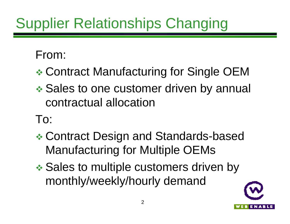## Supplier Relationships Changing

#### From:

- **Example Contract Manufacturing for Single OEM**
- **External Sales to one customer driven by annual** contractual allocation

#### To:

- **Exeminary Contract Design and Standards-based** Manufacturing for Multiple OEMs
- **Example Sales to multiple customers driven by** monthly/weekly/hourly demand

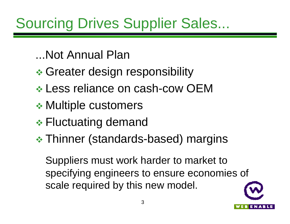## Sourcing Drives Supplier Sales...

- ...Not Annual Plan
- **Executer design responsibility →**
- \* Less reliance on cash-cow OEM
- **EXA Multiple customers**
- **Eluctuating demand**
- **★ Thinner (standards-based) margins**

Suppliers must work harder to market to specifying engineers to ensure economies of scale required by this new model.

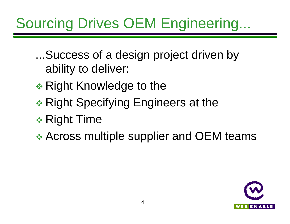## Sourcing Drives OEM Engineering...

...Success of a design project driven by ability to deliver:

- \* Right Knowledge to the
- $\triangleleft$  Right Specifying Engineers at the
- $\div$  Right Time

\* Across multiple supplier and OEM teams

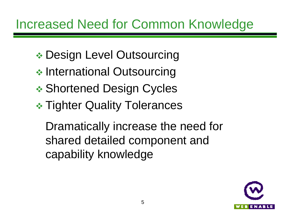- **Example Design Level Outsourcing**
- **◆ International Outsourcing**
- \* Shortened Design Cycles
- **\* Tighter Quality Tolerances**

Dramatically increase the need for shared detailed component and capability knowledge

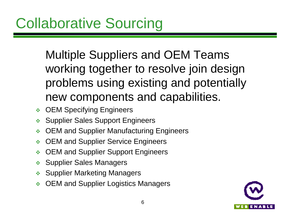Multiple Suppliers and OEM Teams working together to resolve join design problems using existing and potentially new components and capabilities.

- ◆ OEM Specifying Engineers
- **Supplier Sales Support Engineers**
- ◆ OEM and Supplier Manufacturing Engineers
- OEM and Supplier Service Engineers
- OEM and Supplier Support Engineers
- **Supplier Sales Managers**
- ◆ Supplier Marketing Managers
- OEM and Supplier Logistics Managers

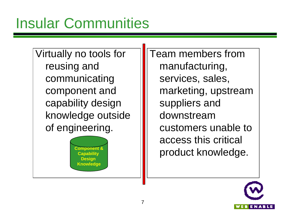Virtually no tools for reusing and communicating component and capability design knowledge outside of engineering.

> **Capability Design Knowledge**

Team members from manufacturing, services, sales, marketing, upstream suppliers and downstream customers unable to access this critical **Product knowledge.** 

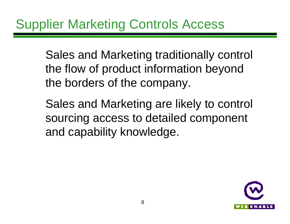Sales and Marketing traditionally control the flow of product information beyond the borders of the company.

Sales and Marketing are likely to control sourcing access to detailed component and capability knowledge.

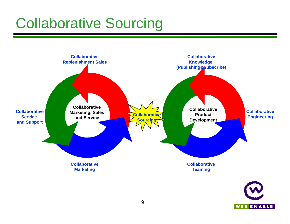## Collaborative Sourcing

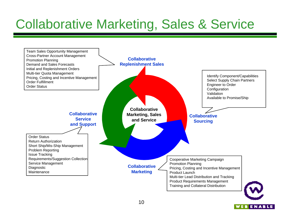### Collaborative Marketing, Sales & Service

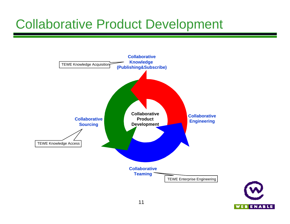#### Collaborative Product Development



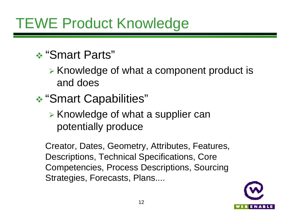## TEWE Product Knowledge

#### v "Smart Parts"

- $\triangleright$  Knowledge of what a component product is and does
- v "Smart Capabilities"
	- $\triangleright$  Knowledge of what a supplier can potentially produce

Creator, Dates, Geometry, Attributes, Features, Descriptions, Technical Specifications, Core Competencies, Process Descriptions, Sourcing Strategies, Forecasts, Plans....

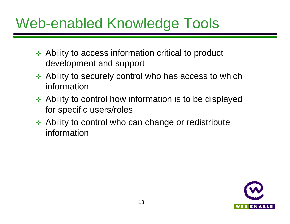## Web-enabled Knowledge Tools

- $\triangle$  Ability to access information critical to product development and support
- $\triangle$  Ability to securely control who has access to which information
- $\leftrightarrow$  Ability to control how information is to be displayed for specific users/roles
- $\triangleleft$  Ability to control who can change or redistribute information

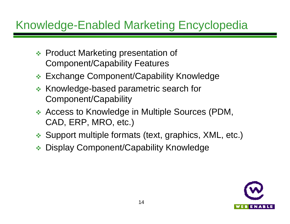#### Knowledge-Enabled Marketing Encyclopedia

- **Exercise Product Marketing presentation of** Component/Capability Features
- ❖ Exchange Component/Capability Knowledge
- **EXEDEDEDE FIRE PARAMETER SEARCH FOR SEARCH FOR SEARCH FOR SEARCH FOR SEARCH FOR SEARCH FOR SEARCH FOR SEARCH FOR S** Component/Capability
- ◆ Access to Knowledge in Multiple Sources (PDM, CAD, ERP, MRO, etc.)
- ◆ Support multiple formats (text, graphics, XML, etc.)
- ◆ Display Component/Capability Knowledge

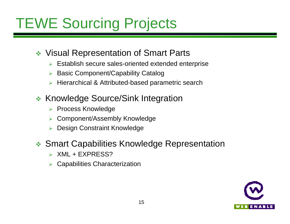## TEWE Sourcing Projects

- ◆ Visual Representation of Smart Parts
	- $\triangleright$  Establish secure sales-oriented extended enterprise
	- **Basic Component/Capability Catalog**
	- $\triangleright$  Hierarchical & Attributed-based parametric search
- **EXECTE:** Knowledge Source/Sink Integration
	- ▶ Process Knowledge
	- ▶ Component/Assembly Knowledge
	- ▶ Design Constraint Knowledge

#### **❖ Smart Capabilities Knowledge Representation**

- $\triangleright$  XML + EXPRESS?
- $\triangleright$  Capabilities Characterization

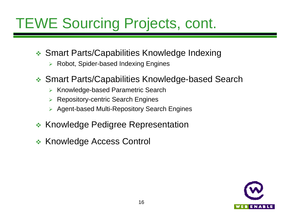## TEWE Sourcing Projects, cont.

- ❖ Smart Parts/Capabilities Knowledge Indexing
	- $\triangleright$  Robot, Spider-based Indexing Engines
- ◆ Smart Parts/Capabilities Knowledge-based Search
	- $\triangleright$  Knowledge-based Parametric Search
	- $\triangleright$  Repository-centric Search Engines
	- **▶ Agent-based Multi-Repository Search Engines**
- **\* Knowledge Pedigree Representation**
- **EXA Knowledge Access Control**

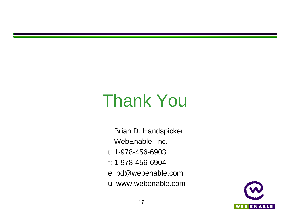# Thank You

 Brian D. Handspicker WebEnable, Inc. t: 1-978-456-6903 f: 1-978-456-6904 e: bd@webenable.com u: www.webenable.com

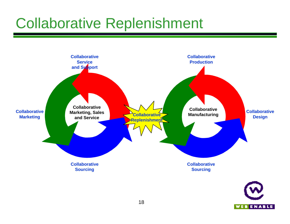## Collaborative Replenishment